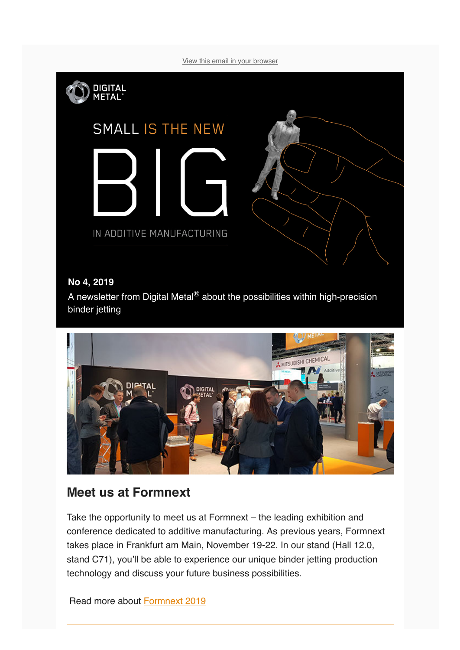[View this email in your browser](https://mailchi.mp/f3ff50306609/digital-metal-launches-two-new-superalloys-1658611?e=a8d0953d53)



#### **No 4, 2019**

A newsletter from Digital Metal® about the possibilities within high-precision binder jetting



## **Meet us at Formnext**

Take the opportunity to meet us at Formnext – the leading exhibition and conference dedicated to additive manufacturing. As previous years, Formnext takes place in Frankfurt am Main, November 19-22. In our stand (Hall 12.0, stand C71), you'll be able to experience our unique binder jetting production technology and discuss your future business possibilities.

Read more about [Formnext 2019](https://formnext.mesago.com/events/en.html)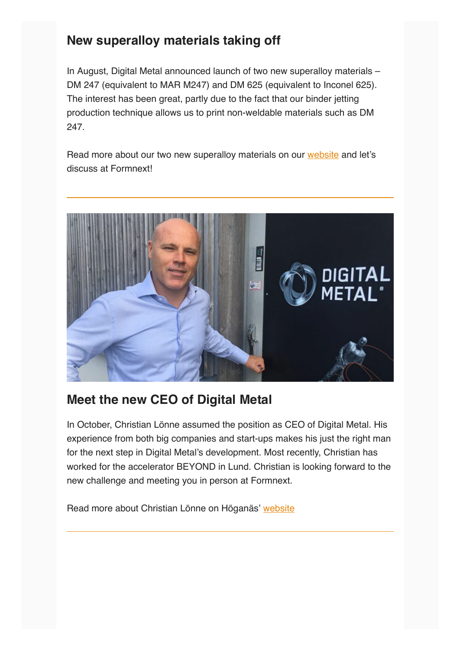# **New superalloy materials taking off**

In August, Digital Metal announced launch of two new superalloy materials – DM 247 (equivalent to MAR M247) and DM 625 (equivalent to Inconel 625). The interest has been great, partly due to the fact that our binder jetting production technique allows us to print non-weldable materials such as DM 247.

Read more about our two new superalloy materials on our [website](https://digitalmetal.tech/news-september-3-2019) and let's discuss at Formnext!



## **Meet the new CEO of Digital Metal**

In October, Christian Lönne assumed the position as CEO of Digital Metal. His experience from both big companies and start-ups makes his just the right man for the next step in Digital Metal's development. Most recently, Christian has worked for the accelerator BEYOND in Lund. Christian is looking forward to the new challenge and meeting you in person at Formnext.

Read more about Christian Lönne on Höganäs' [website](https://www.hoganas.com/en/news-and-events/news/2019/christian-lonne-new-ceo-digital-metal/?s=corporate)